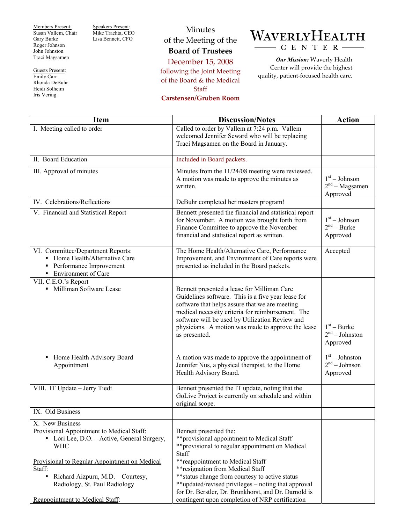Members Present: Susan Vallem, Chair Gary Burke Roger Johnson John Johnston Traci Magsamen

Guests Present: Emily Carr Rhonda DeBuhr Heidi Solheim Iris Vering

Speakers Present: Mike Trachta, CEO Lisa Bennett, CFO

Minutes of the Meeting of the **Board of Trustees** 

December 15, 2008 following the Joint Meeting of the Board & the Medical **Staff** 

**Carstensen/Gruben Room** 

## WAVERLYHEALTH CENTER-

*Our Mission:* Waverly Health Center will provide the highest quality, patient-focused health care.

| <b>Item</b>                                                                                                                   | <b>Discussion/Notes</b>                                                                                                                                                                                                                                                                                                            | <b>Action</b>                                   |
|-------------------------------------------------------------------------------------------------------------------------------|------------------------------------------------------------------------------------------------------------------------------------------------------------------------------------------------------------------------------------------------------------------------------------------------------------------------------------|-------------------------------------------------|
| I. Meeting called to order                                                                                                    | Called to order by Vallem at 7:24 p.m. Vallem<br>welcomed Jennifer Seward who will be replacing<br>Traci Magsamen on the Board in January.                                                                                                                                                                                         |                                                 |
| II. Board Education                                                                                                           | Included in Board packets.                                                                                                                                                                                                                                                                                                         |                                                 |
| III. Approval of minutes                                                                                                      | Minutes from the 11/24/08 meeting were reviewed.<br>A motion was made to approve the minutes as<br>written.                                                                                                                                                                                                                        | $1st - Johnson$<br>$2nd - Magsamen$<br>Approved |
| IV. Celebrations/Reflections                                                                                                  | DeBuhr completed her masters program!                                                                                                                                                                                                                                                                                              |                                                 |
| V. Financial and Statistical Report                                                                                           | Bennett presented the financial and statistical report<br>for November. A motion was brought forth from<br>Finance Committee to approve the November<br>financial and statistical report as written.                                                                                                                               | $1st - Johnson$<br>$2nd - Burke$<br>Approved    |
| VI. Committee/Department Reports:<br>• Home Health/Alternative Care<br>• Performance Improvement<br>• Environment of Care     | The Home Health/Alternative Care, Performance<br>Improvement, and Environment of Care reports were<br>presented as included in the Board packets.                                                                                                                                                                                  | Accepted                                        |
| VII. C.E.O.'s Report<br>• Milliman Software Lease                                                                             | Bennett presented a lease for Milliman Care<br>Guidelines software. This is a five year lease for<br>software that helps assure that we are meeting<br>medical necessity criteria for reimbursement. The<br>software will be used by Utilization Review and<br>physicians. A motion was made to approve the lease<br>as presented. | $1st - Burke$<br>$2nd - Johnston$<br>Approved   |
| Home Health Advisory Board<br>Appointment                                                                                     | A motion was made to approve the appointment of<br>Jennifer Nus, a physical therapist, to the Home<br>Health Advisory Board.                                                                                                                                                                                                       | $1st - Johnston$<br>$2nd - Johnson$<br>Approved |
| VIII. IT Update - Jerry Tiedt                                                                                                 | Bennett presented the IT update, noting that the<br>GoLive Project is currently on schedule and within<br>original scope.                                                                                                                                                                                                          |                                                 |
| IX. Old Business                                                                                                              |                                                                                                                                                                                                                                                                                                                                    |                                                 |
| X. New Business<br>Provisional Appointment to Medical Staff:<br>• Lori Lee, D.O. – Active, General Surgery,<br><b>WHC</b>     | Bennett presented the:<br>**provisional appointment to Medical Staff<br>**provisional to regular appointment on Medical<br>Staff                                                                                                                                                                                                   |                                                 |
| Provisional to Regular Appointment on Medical<br>Staff:<br>Richard Aizpuru, M.D. - Courtesy,<br>Radiology, St. Paul Radiology | **reappointment to Medical Staff<br>** resignation from Medical Staff<br>** status change from courtesy to active status<br>**updated/revised privileges – noting that approval<br>for Dr. Berstler, Dr. Brunkhorst, and Dr. Darnold is                                                                                            |                                                 |
| Reappointment to Medical Staff:                                                                                               | contingent upon completion of NRP certification                                                                                                                                                                                                                                                                                    |                                                 |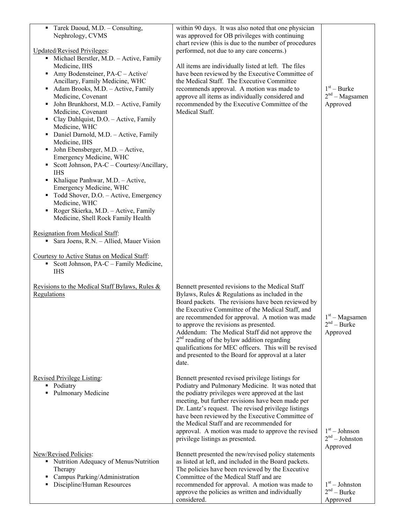| Tarek Daoud, M.D. - Consulting,<br>٠<br>Nephrology, CVMS<br><b>Updated/Revised Privileges:</b><br>• Michael Berstler, M.D. - Active, Family<br>Medicine, IHS<br>Amy Bodensteiner, PA-C - Active/<br>٠<br>Ancillary, Family Medicine, WHC<br>Adam Brooks, M.D. - Active, Family<br>٠<br>Medicine, Covenant<br>John Brunkhorst, M.D. - Active, Family<br>٠<br>Medicine, Covenant<br>• Clay Dahlquist, D.O. - Active, Family<br>Medicine, WHC<br>• Daniel Darnold, M.D. - Active, Family<br>Medicine, IHS<br>John Ebensberger, M.D. - Active,<br>٠<br>Emergency Medicine, WHC<br>Scott Johnson, PA-C – Courtesy/Ancillary,<br>٠<br><b>IHS</b><br>Khalique Panhwar, M.D. - Active,<br>Emergency Medicine, WHC<br>Todd Shover, D.O. - Active, Emergency<br>Medicine, WHC<br>Roger Skierka, M.D. - Active, Family<br>٠<br>Medicine, Shell Rock Family Health<br>Resignation from Medical Staff:<br>Sara Joens, R.N. - Allied, Mauer Vision<br>Courtesy to Active Status on Medical Staff:<br>Scott Johnson, PA-C – Family Medicine,<br><b>IHS</b> | within 90 days. It was also noted that one physician<br>was approved for OB privileges with continuing<br>chart review (this is due to the number of procedures<br>performed, not due to any care concerns.)<br>All items are individually listed at left. The files<br>have been reviewed by the Executive Committee of<br>the Medical Staff. The Executive Committee<br>recommends approval. A motion was made to<br>approve all items as individually considered and<br>recommended by the Executive Committee of the<br>Medical Staff. | $1st - Burke$<br>$2nd - Magsamen$<br>Approved             |
|---------------------------------------------------------------------------------------------------------------------------------------------------------------------------------------------------------------------------------------------------------------------------------------------------------------------------------------------------------------------------------------------------------------------------------------------------------------------------------------------------------------------------------------------------------------------------------------------------------------------------------------------------------------------------------------------------------------------------------------------------------------------------------------------------------------------------------------------------------------------------------------------------------------------------------------------------------------------------------------------------------------------------------------------|--------------------------------------------------------------------------------------------------------------------------------------------------------------------------------------------------------------------------------------------------------------------------------------------------------------------------------------------------------------------------------------------------------------------------------------------------------------------------------------------------------------------------------------------|-----------------------------------------------------------|
| Revisions to the Medical Staff Bylaws, Rules &<br>Regulations                                                                                                                                                                                                                                                                                                                                                                                                                                                                                                                                                                                                                                                                                                                                                                                                                                                                                                                                                                               | Bennett presented revisions to the Medical Staff<br>Bylaws, Rules $&$ Regulations as included in the<br>Board packets. The revisions have been reviewed by<br>the Executive Committee of the Medical Staff, and<br>are recommended for approval. A motion was made<br>to approve the revisions as presented.<br>Addendum: The Medical Staff did not approve the<br>$2nd$ reading of the bylaw addition regarding<br>qualifications for MEC officers. This will be revised<br>and presented to the Board for approval at a later<br>date.   | $1st - Magsamen$<br>$2nd - Burke$<br>Approved             |
| <b>Revised Privilege Listing:</b><br>• Podiatry<br><b>Pulmonary Medicine</b>                                                                                                                                                                                                                                                                                                                                                                                                                                                                                                                                                                                                                                                                                                                                                                                                                                                                                                                                                                | Bennett presented revised privilege listings for<br>Podiatry and Pulmonary Medicine. It was noted that<br>the podiatry privileges were approved at the last<br>meeting, but further revisions have been made per<br>Dr. Lantz's request. The revised privilege listings<br>have been reviewed by the Executive Committee of<br>the Medical Staff and are recommended for<br>approval. A motion was made to approve the revised<br>privilege listings as presented.                                                                         | $1st - Johnson$<br>$2nd - Johnston$                       |
| New/Revised Policies:<br>• Nutrition Adequacy of Menus/Nutrition<br>Therapy<br>Campus Parking/Administration<br>Discipline/Human Resources                                                                                                                                                                                                                                                                                                                                                                                                                                                                                                                                                                                                                                                                                                                                                                                                                                                                                                  | Bennett presented the new/revised policy statements<br>as listed at left, and included in the Board packets.<br>The policies have been reviewed by the Executive<br>Committee of the Medical Staff and are<br>recommended for approval. A motion was made to<br>approve the policies as written and individually<br>considered.                                                                                                                                                                                                            | Approved<br>$1st - Johnston$<br>$2nd - Burke$<br>Approved |